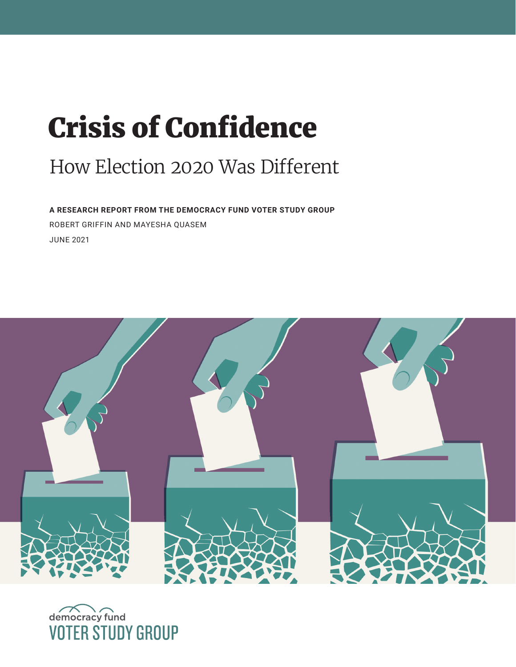# Crisis of Confidence

# How Election 2020 Was Different

**A RESEARCH REPORT FROM THE DEMOCRACY FUND VOTER STUDY GROUP**  ROBERT GRIFFIN AND MAYESHA QUASEM JUNE 2021



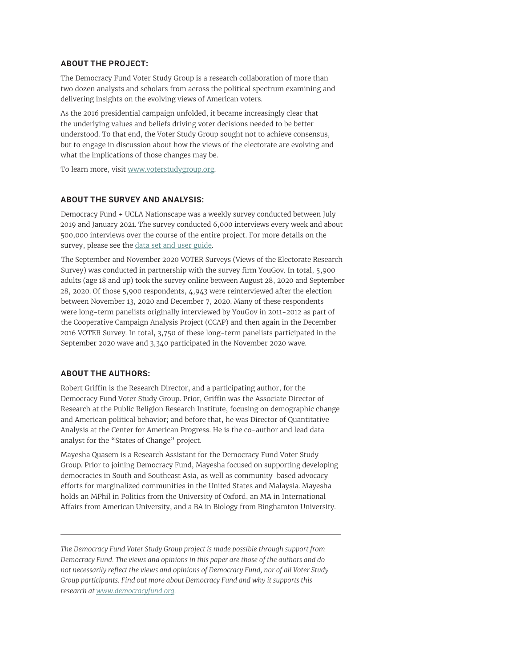#### **ABOUT THE PROJECT:**

The Democracy Fund Voter Study Group is a research collaboration of more than two dozen analysts and scholars from across the political spectrum examining and delivering insights on the evolving views of American voters.

As the 2016 presidential campaign unfolded, it became increasingly clear that the underlying values and beliefs driving voter decisions needed to be better understood. To that end, the Voter Study Group sought not to achieve consensus, but to engage in discussion about how the views of the electorate are evolving and what the implications of those changes may be.

To learn more, visit [www.voterstudygroup.org](http://www.voterstudygroup.org).

#### **ABOUT THE SURVEY AND ANALYSIS:**

Democracy Fund + UCLA Nationscape was a weekly survey conducted between July 2019 and January 2021. The survey conducted 6,000 interviews every week and about 500,000 interviews over the course of the entire project. For more details on the survey, please see the [data set and user guide](https://www.voterstudygroup.org/publication/nationscape-data-set).

The September and November 2020 VOTER Surveys (Views of the Electorate Research Survey) was conducted in partnership with the survey firm YouGov. In total, 5,900 adults (age 18 and up) took the survey online between August 28, 2020 and September 28, 2020. Of those 5,900 respondents, 4,943 were reinterviewed after the election between November 13, 2020 and December 7, 2020. Many of these respondents were long-term panelists originally interviewed by YouGov in 2011-2012 as part of the Cooperative Campaign Analysis Project (CCAP) and then again in the December 2016 VOTER Survey. In total, 3,750 of these long-term panelists participated in the September 2020 wave and 3,340 participated in the November 2020 wave.

#### **ABOUT THE AUTHORS:**

Robert Griffin is the Research Director, and a participating author, for the Democracy Fund Voter Study Group. Prior, Griffin was the Associate Director of Research at the Public Religion Research Institute, focusing on demographic change and American political behavior; and before that, he was Director of Quantitative Analysis at the Center for American Progress. He is the co-author and lead data analyst for the "States of Change" project.

Mayesha Quasem is a Research Assistant for the Democracy Fund Voter Study Group. Prior to joining Democracy Fund, Mayesha focused on supporting developing democracies in South and Southeast Asia, as well as community-based advocacy efforts for marginalized communities in the United States and Malaysia. Mayesha holds an MPhil in Politics from the University of Oxford, an MA in International Affairs from American University, and a BA in Biology from Binghamton University.

*The Democracy Fund Voter Study Group project is made possible through support from Democracy Fund. The views and opinions in this paper are those of the authors and do not necessarily reflect the views and opinions of Democracy Fund, nor of all Voter Study Group participants. Find out more about Democracy Fund and why it supports this research at [www.democracyfund.org.](http://www.democracyfund.org)*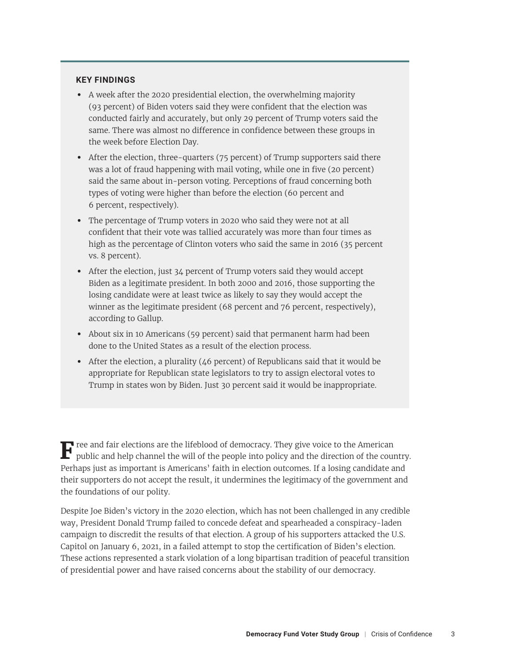#### **KEY FINDINGS**

- **•** A week after the 2020 presidential election, the overwhelming majority (93 percent) of Biden voters said they were confident that the election was conducted fairly and accurately, but only 29 percent of Trump voters said the same. There was almost no difference in confidence between these groups in the week before Election Day.
- **•** After the election, three-quarters (75 percent) of Trump supporters said there was a lot of fraud happening with mail voting, while one in five (20 percent) said the same about in-person voting. Perceptions of fraud concerning both types of voting were higher than before the election (60 percent and 6 percent, respectively).
- **•** The percentage of Trump voters in 2020 who said they were not at all confident that their vote was tallied accurately was more than four times as high as the percentage of Clinton voters who said the same in 2016 (35 percent vs. 8 percent).
- **•** After the election, just 34 percent of Trump voters said they would accept Biden as a legitimate president. In both 2000 and 2016, those supporting the losing candidate were at least twice as likely to say they would accept the winner as the legitimate president (68 percent and 76 percent, respectively), according to Gallup.
- **•** About six in 10 Americans (59 percent) said that permanent harm had been done to the United States as a result of the election process.
- **•** After the election, a plurality (46 percent) of Republicans said that it would be appropriate for Republican state legislators to try to assign electoral votes to Trump in states won by Biden. Just 30 percent said it would be inappropriate.

**F** ree and fair elections are the lifeblood of democracy. They give voice to the American public and help channel the will of the people into policy and the direction of the country. Perhaps just as important is Americans' faith in election outcomes. If a losing candidate and their supporters do not accept the result, it undermines the legitimacy of the government and the foundations of our polity.

Despite Joe Biden's victory in the 2020 election, which has not been challenged in any credible way, President Donald Trump failed to concede defeat and spearheaded a conspiracy-laden campaign to discredit the results of that election. A group of his supporters attacked the U.S. Capitol on January 6, 2021, in a failed attempt to stop the certification of Biden's election. These actions represented a stark violation of a long bipartisan tradition of peaceful transition of presidential power and have raised concerns about the stability of our democracy.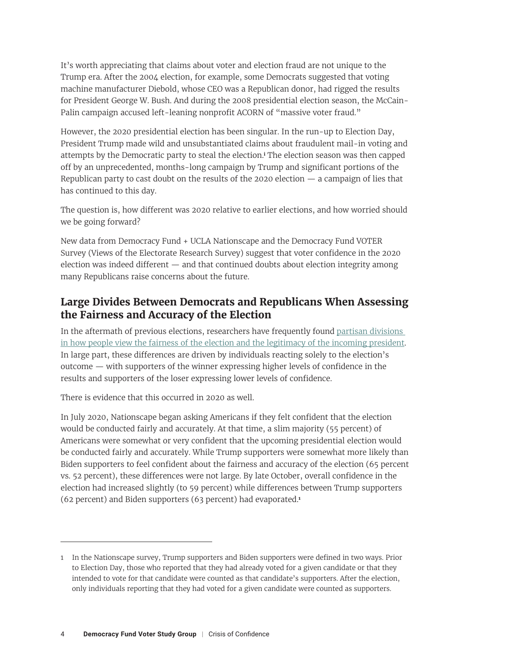<span id="page-3-0"></span>It's worth appreciating that claims about voter and election fraud are not unique to the Trump era. After the 2004 election, for example, some Democrats suggested that voting machine manufacturer Diebold, whose CEO was a Republican donor, had rigged the results for President George W. Bush. And during the 2008 presidential election season, the McCain-Palin campaign accused left-leaning nonprofit ACORN of "massive voter fraud."

However, the 2020 presidential election has been singular. In the run-up to Election Day, President Trump made wild and unsubstantiated claims about fraudulent mail-in voting and attempts by the Democratic party to steal the election.**[i](#page-10-0)** The election season was then capped off by an unprecedented, months-long campaign by Trump and significant portions of the Republican party to cast doubt on the results of the 2020 election — a campaign of lies that has continued to this day.

The question is, how different was 2020 relative to earlier elections, and how worried should we be going forward?

New data from Democracy Fund + UCLA Nationscape and the Democracy Fund VOTER Survey (Views of the Electorate Research Survey) suggest that voter confidence in the 2020 election was indeed different — and that continued doubts about election integrity among many Republicans raise concerns about the future.

# **Large Divides Between Democrats and Republicans When Assessing the Fairness and Accuracy of the Election**

In the aftermath of previous elections, researchers have frequently found [partisan divisions](https://www.pewresearch.org/politics/2016/11/21/the-voting-process/)  [in how people view the fairness of the election and the legitimacy of the incoming president](https://www.pewresearch.org/politics/2016/11/21/the-voting-process/). In large part, these differences are driven by individuals reacting solely to the election's outcome — with supporters of the winner expressing higher levels of confidence in the results and supporters of the loser expressing lower levels of confidence.

There is evidence that this occurred in 2020 as well.

In July 2020, Nationscape began asking Americans if they felt confident that the election would be conducted fairly and accurately. At that time, a slim majority (55 percent) of Americans were somewhat or very confident that the upcoming presidential election would be conducted fairly and accurately. While Trump supporters were somewhat more likely than Biden supporters to feel confident about the fairness and accuracy of the election (65 percent vs. 52 percent), these differences were not large. By late October, overall confidence in the election had increased slightly (to 59 percent) while differences between Trump supporters (62 percent) and Biden supporters (63 percent) had evaporated.**<sup>1</sup>**

<sup>1</sup> In the Nationscape survey, Trump supporters and Biden supporters were defined in two ways. Prior to Election Day, those who reported that they had already voted for a given candidate or that they intended to vote for that candidate were counted as that candidate's supporters. After the election, only individuals reporting that they had voted for a given candidate were counted as supporters.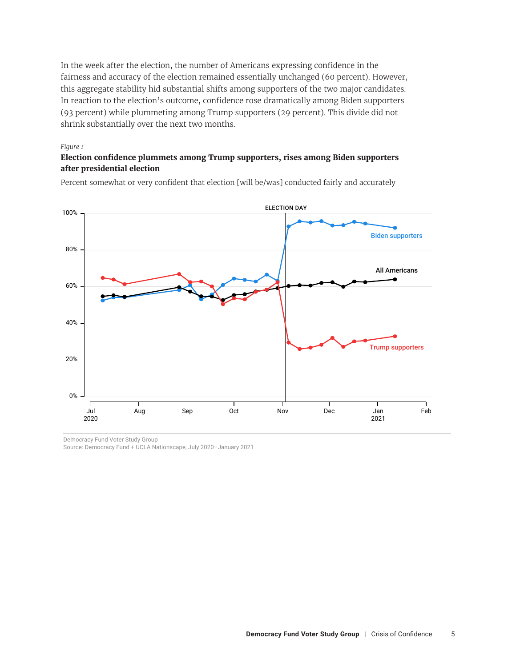In the week after the election, the number of Americans expressing confidence in the fairness and accuracy of the election remained essentially unchanged (60 percent). However, this aggregate stability hid substantial shifts among supporters of the two major candidates. In reaction to the election's outcome, confidence rose dramatically among Biden supporters (93 percent) while plummeting among Trump supporters (29 percent). This divide did not shrink substantially over the next two months.

#### *Figure 1 Figure 1*

#### **Election confidence plummets among Trump supporters, rises among Biden supporters Election confidence plummets among Trump supporters, rises among Biden supporters after presidential election after presidential election**

Percent somewhat or very confident that election [will be/was] conducted fairly and accurately Percent somewhat or very confident that election [will be/was] conducted fairly and accurately



Democracy Fund Voter Study Group

Source: Democracy Fund + UCLA Nationscape, July 2020–January 2021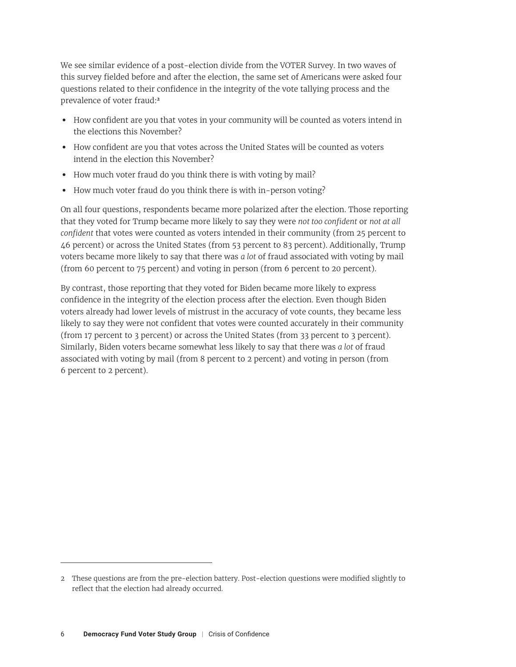We see similar evidence of a post-election divide from the VOTER Survey. In two waves of this survey fielded before and after the election, the same set of Americans were asked four questions related to their confidence in the integrity of the vote tallying process and the prevalence of voter fraud:**<sup>2</sup>**

- **•** How confident are you that votes in your community will be counted as voters intend in the elections this November?
- **•** How confident are you that votes across the United States will be counted as voters intend in the election this November?
- **•** How much voter fraud do you think there is with voting by mail?
- **•** How much voter fraud do you think there is with in-person voting?

On all four questions, respondents became more polarized after the election. Those reporting that they voted for Trump became more likely to say they were *not too confident* or *not at all confident* that votes were counted as voters intended in their community (from 25 percent to 46 percent) or across the United States (from 53 percent to 83 percent). Additionally, Trump voters became more likely to say that there was *a lot* of fraud associated with voting by mail (from 60 percent to 75 percent) and voting in person (from 6 percent to 20 percent).

By contrast, those reporting that they voted for Biden became more likely to express confidence in the integrity of the election process after the election. Even though Biden voters already had lower levels of mistrust in the accuracy of vote counts, they became less likely to say they were not confident that votes were counted accurately in their community (from 17 percent to 3 percent) or across the United States (from 33 percent to 3 percent). Similarly, Biden voters became somewhat less likely to say that there was *a lot* of fraud associated with voting by mail (from 8 percent to 2 percent) and voting in person (from 6 percent to 2 percent).

<sup>2</sup> These questions are from the pre-election battery. Post-election questions were modified slightly to reflect that the election had already occurred.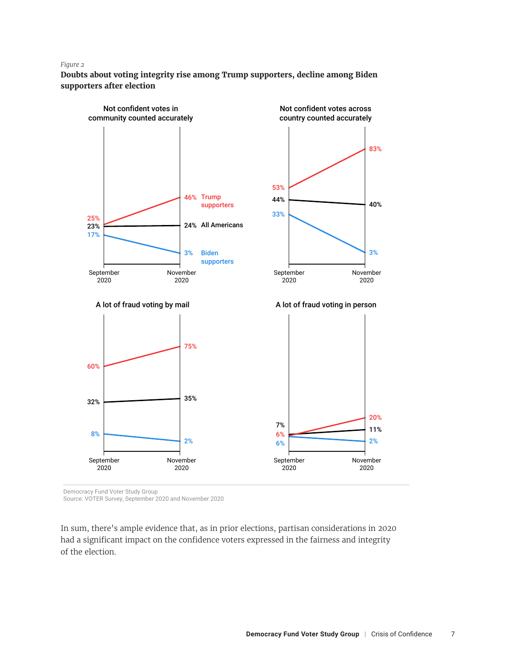#### *Figure 2 Figure 2*

**Doubts about voting integrity rise among Trump supporters, decline among Biden Doubts about voting integrity rise among Trump supporters, decline among Biden supporters after election supporters after election**



Democracy Fund Voter Study Group

Source: VOTER Survey, September 2020 and November 2020

In sum, there's ample evidence that, as in prior elections, partisan considerations in 2020 had a significant impact on the confidence voters expressed in the fairness and integrity of the election.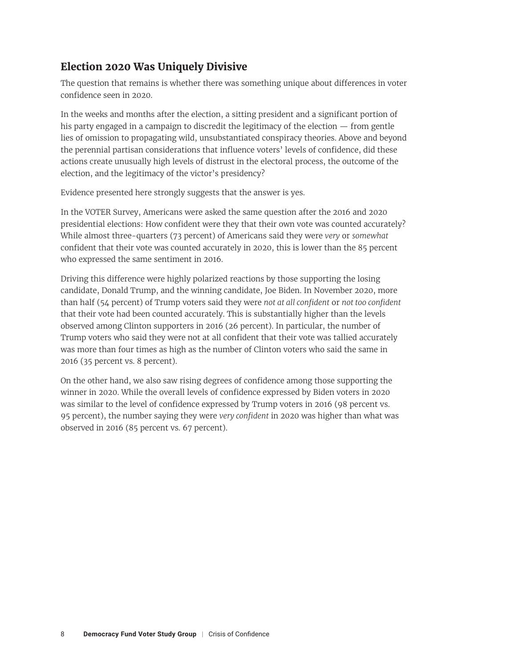# **Election 2020 Was Uniquely Divisive**

The question that remains is whether there was something unique about differences in voter confidence seen in 2020.

In the weeks and months after the election, a sitting president and a significant portion of his party engaged in a campaign to discredit the legitimacy of the election  $-$  from gentle lies of omission to propagating wild, unsubstantiated conspiracy theories. Above and beyond the perennial partisan considerations that influence voters' levels of confidence, did these actions create unusually high levels of distrust in the electoral process, the outcome of the election, and the legitimacy of the victor's presidency?

Evidence presented here strongly suggests that the answer is yes.

In the VOTER Survey, Americans were asked the same question after the 2016 and 2020 presidential elections: How confident were they that their own vote was counted accurately? While almost three-quarters (73 percent) of Americans said they were *very* or *somewhat* confident that their vote was counted accurately in 2020, this is lower than the 85 percent who expressed the same sentiment in 2016.

Driving this difference were highly polarized reactions by those supporting the losing candidate, Donald Trump, and the winning candidate, Joe Biden. In November 2020, more than half (54 percent) of Trump voters said they were *not at all confident* or *not too confident* that their vote had been counted accurately. This is substantially higher than the levels observed among Clinton supporters in 2016 (26 percent). In particular, the number of Trump voters who said they were not at all confident that their vote was tallied accurately was more than four times as high as the number of Clinton voters who said the same in 2016 (35 percent vs. 8 percent).

On the other hand, we also saw rising degrees of confidence among those supporting the winner in 2020. While the overall levels of confidence expressed by Biden voters in 2020 was similar to the level of confidence expressed by Trump voters in 2016 (98 percent vs. 95 percent), the number saying they were *very confident* in 2020 was higher than what was observed in 2016 (85 percent vs. 67 percent).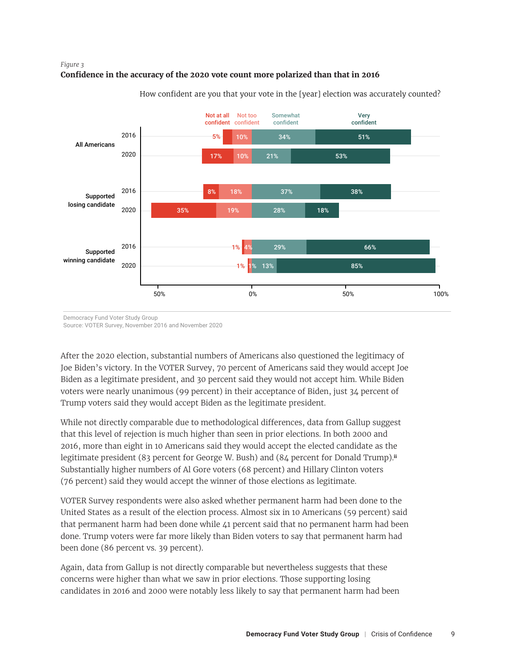### <span id="page-8-0"></span>*Figure 3 Figure 3* **Confidence in the accuracy of the 2020 vote count more polarized than that in 2016 Confidence in the accuracy of the 2020 vote count more polarized than that in 2016**



How confident are you that your vote in the [year] election was accurately counted?

Democracy Fund Voter Study Group

Source: VOTER Survey, November 2016 and November 2020

After the 2020 election, substantial numbers of Americans also questioned the legitimacy of Joe Biden's victory. In the VOTER Survey, 70 percent of Americans said they would accept Joe Biden as a legitimate president, and 30 percent said they would not accept him. While Biden voters were nearly unanimous (99 percent) in their acceptance of Biden, just 34 percent of Trump voters said they would accept Biden as the legitimate president.

While not directly comparable due to methodological differences, data from Gallup suggest that this level of rejection is much higher than seen in prior elections. In both 2000 and 2016, more than eight in 10 Americans said they would accept the elected candidate as the legitimate president (83 percent for George W. Bush) and (84 percent for Donald Trump).**[ii](#page-10-0)** Substantially higher numbers of Al Gore voters (68 percent) and Hillary Clinton voters (76 percent) said they would accept the winner of those elections as legitimate.

VOTER Survey respondents were also asked whether permanent harm had been done to the United States as a result of the election process. Almost six in 10 Americans (59 percent) said that permanent harm had been done while 41 percent said that no permanent harm had been done. Trump voters were far more likely than Biden voters to say that permanent harm had been done (86 percent vs. 39 percent).

Again, data from Gallup is not directly comparable but nevertheless suggests that these concerns were higher than what we saw in prior elections. Those supporting losing candidates in 2016 and 2000 were notably less likely to say that permanent harm had been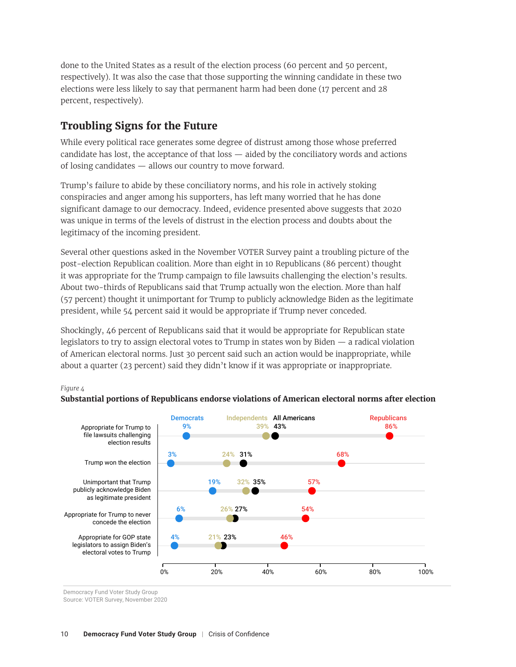done to the United States as a result of the election process (60 percent and 50 percent, respectively). It was also the case that those supporting the winning candidate in these two elections were less likely to say that permanent harm had been done (17 percent and 28 percent, respectively).

# **Troubling Signs for the Future**

While every political race generates some degree of distrust among those whose preferred candidate has lost, the acceptance of that loss — aided by the conciliatory words and actions of losing candidates — allows our country to move forward.

Trump's failure to abide by these conciliatory norms, and his role in actively stoking conspiracies and anger among his supporters, has left many worried that he has done significant damage to our democracy. Indeed, evidence presented above suggests that 2020 was unique in terms of the levels of distrust in the election process and doubts about the legitimacy of the incoming president.

Several other questions asked in the November VOTER Survey paint a troubling picture of the post-election Republican coalition. More than eight in 10 Republicans (86 percent) thought it was appropriate for the Trump campaign to file lawsuits challenging the election's results. About two-thirds of Republicans said that Trump actually won the election. More than half (57 percent) thought it unimportant for Trump to publicly acknowledge Biden as the legitimate president, while 54 percent said it would be appropriate if Trump never conceded.

Shockingly, 46 percent of Republicans said that it would be appropriate for Republican state legislators to try to assign electoral votes to Trump in states won by Biden — a radical violation of American electoral norms. Just 30 percent said such an action would be inappropriate, while about a quarter (23 percent) said they didn't know if it was appropriate or inappropriate.





Democracy Fund Voter Study Group

*Figure 4*

Source: VOTER Survey, November 2020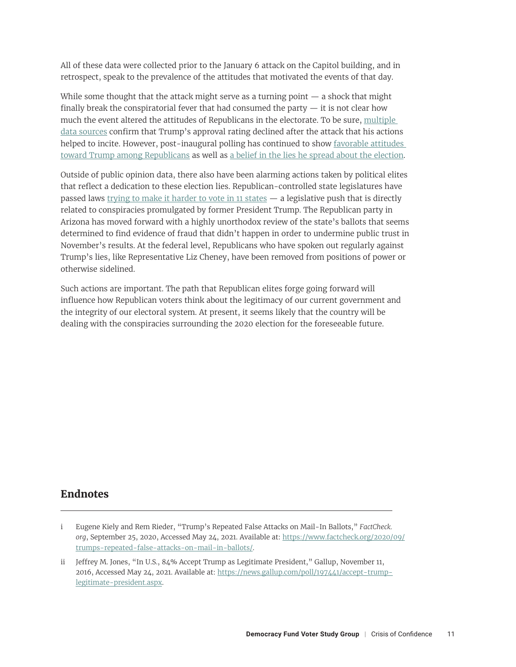<span id="page-10-0"></span>All of these data were collected prior to the January 6 attack on the Capitol building, and in retrospect, speak to the prevalence of the attitudes that motivated the events of that day.

While some thought that the attack might serve as a turning point  $-$  a shock that might finally break the conspiratorial fever that had consumed the party  $-$  it is not clear how much the event altered the attitudes of Republicans in the electorate. To be sure, [multiple](https://projects.fivethirtyeight.com/trump-approval-ratings/)  [data sources](https://projects.fivethirtyeight.com/trump-approval-ratings/) confirm that Trump's approval rating declined after the attack that his actions helped to incite. However, post-inaugural polling has continued to show [favorable attitudes](https://docs.cdn.yougov.com/zqplrjlj3n/econTabReport.pdf)  [toward Trump among Republicans](https://docs.cdn.yougov.com/zqplrjlj3n/econTabReport.pdf) as well as [a belief in the lies he spread about the election.](https://www.nbcnews.com/politics/meet-the-press/blog/meet-press-blog-latest-news-analysis-data-driving-political-discussion-n988541/ncrd1261306)

Outside of public opinion data, there also have been alarming actions taken by political elites that reflect a dedication to these election lies. Republican-controlled state legislatures have passed laws [trying to make it harder to vote in 11 states](https://fivethirtyeight.com/features/republicans-have-made-it-harder-to-vote-in-11-states-so-far/) — a legislative push that is directly related to conspiracies promulgated by former President Trump. The Republican party in Arizona has moved forward with a highly unorthodox review of the state's ballots that seems determined to find evidence of fraud that didn't happen in order to undermine public trust in November's results. At the federal level, Republicans who have spoken out regularly against Trump's lies, like Representative Liz Cheney, have been removed from positions of power or otherwise sidelined.

Such actions are important. The path that Republican elites forge going forward will influence how Republican voters think about the legitimacy of our current government and the integrity of our electoral system. At present, it seems likely that the country will be dealing with the conspiracies surrounding the 2020 election for the foreseeable future.

# **Endnotes**

[i](#page-3-0) Eugene Kiely and Rem Rieder, "Trump's Repeated False Attacks on Mail-In Ballots," *FactCheck. org*, September 25, 2020, Accessed May 24, 2021. Available at: [https://www.factcheck.org/2020/09/](https://www.factcheck.org/2020/09/trumps-repeated-false-attacks-on-mail-in-ballots/) [trumps-repeated-false-attacks-on-mail-in-ballots/.](https://www.factcheck.org/2020/09/trumps-repeated-false-attacks-on-mail-in-ballots/)

[ii](#page-8-0) Jeffrey M. Jones, "In U.S., 84% Accept Trump as Legitimate President," Gallup, November 11, 2016, Accessed May 24, 2021. Available at: [https://news.gallup.com/poll/197441/accept-trump](https://news.gallup.com/poll/197441/accept-trump-legitimate-president.aspx)[legitimate-president.aspx](https://news.gallup.com/poll/197441/accept-trump-legitimate-president.aspx).